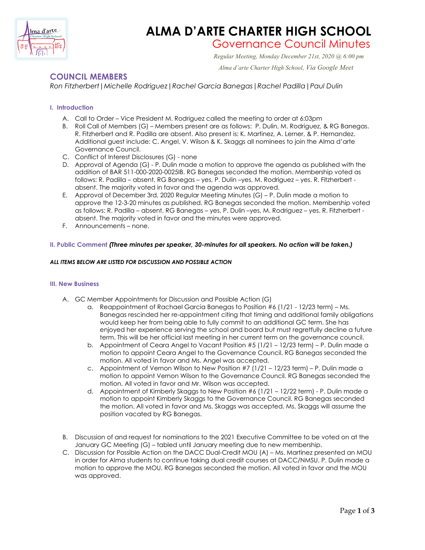

## **ALMA D'ARTE CHARTER HIGH SCHOOL**

# Governance Council Minutes *Regular Meeting, Monday December 21st, 2020 @ 6:00 pm*

 *Alma d'arte Charter High School, Via Google Meet*

### **COUNCIL MEMBERS**

*Ron Fitzherbert|Michelle Rodriguez|Rachel Garcia Banegas|Rachel Padilla|Paul Dulin*

#### **I. Introduction**

- A. Call to Order Vice President M. Rodriguez called the meeting to order at 6:03pm
- B. Roll Call of Members (G) Members present are as follows: P. Dulin, M. Rodriguez, & RG Banegas. R. Fitzherbert and R. Padilla are absent. Also present is: K. Martinez, A. Lerner, & P. Hernandez. Additional guest include: C. Angel, V. Wilson & K. Skaggs all nominees to join the Alma d'arte Governance Council.
- C. Conflict of Interest Disclosures (G) none
- D. Approval of Agenda (G) P. Dulin made a motion to approve the agenda as published with the addition of BAR 511-000-2020-0025IB. RG Banegas seconded the motion. Membership voted as follows: R. Padilla – absent, RG Banegas – yes, P. Dulin –yes, M. Rodriguez – yes. R. Fitzherbert absent. The majority voted in favor and the agenda was approved.
- E. Approval of December 3rd, 2020 Regular Meeting Minutes (G) P. Dulin made a motion to approve the 12-3-20 minutes as published. RG Banegas seconded the motion. Membership voted as follows: R. Padilla – absent, RG Banegas – yes, P. Dulin –yes, M. Rodriguez – yes. R. Fitzherbert absent. The majority voted in favor and the minutes were approved.
- F. Announcements none.

#### **II. Public Comment** *(Three minutes per speaker, 30-minutes for all speakers. No action will be taken.)*

#### *ALL ITEMS BELOW ARE LISTED FOR DISCUSSION AND POSSIBLE ACTION*

#### **III. New Business**

- A. GC Member Appointments for Discussion and Possible Action (G)
	- a. Reappointment of Rachael Garcia Banegas to Position #6 (1/21 12/23 term) Ms. Banegas rescinded her re-appointment citing that timing and additional family obligations would keep her from being able to fully commit to an additional GC term. She has enjoyed her experience serving the school and board but must regretfully decline a future term. This will be her official last meeting in her current term on the governance council.
	- b. Appointment of Ceara Angel to Vacant Position #5 (1/21 12/23 term) P. Dulin made a motion to appoint Ceara Angel to the Governance Council. RG Banegas seconded the motion. All voted in favor and Ms. Angel was accepted.
	- c. Appointment of Vernon Wilson to New Position  $#7 (1/21 12/23 \text{ term}) P$ . Dulin made a motion to appoint Vernon Wilson to the Governance Council. RG Banegas seconded the motion. All voted in favor and Mr. Wilson was accepted.
	- d. Appointment of Kimberly Skaggs to New Position #6 ( $1/21 12/22$  term) P. Dulin made a motion to appoint Kimberly Skaggs to the Governance Council. RG Banegas seconded the motion. All voted in favor and Ms. Skaggs was accepted. Ms. Skaggs will assume the position vacated by RG Banegas.
- B. Discussion of and request for nominations to the 2021 Executive Committee to be voted on at the January GC Meeting (G) – tabled until January meeting due to new membership.
- C. Discussion for Possible Action on the DACC Dual-Credit MOU (A) Ms. Martinez presented an MOU in order for Alma students to continue taking dual credit courses at DACC/NMSU. P. Dulin made a motion to approve the MOU. RG Banegas seconded the motion. All voted in favor and the MOU was approved.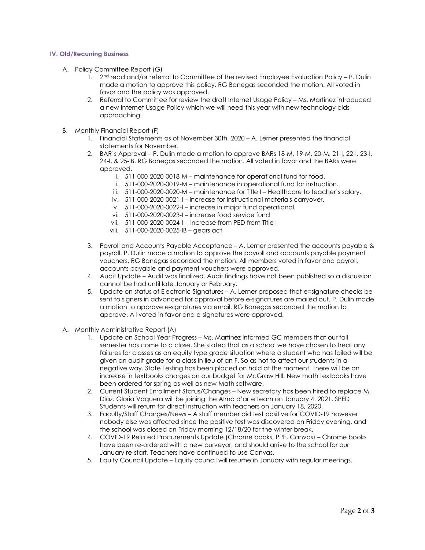#### **IV. Old/Recurring Business**

- A. Policy Committee Report (G)
	- 1. 2<sup>nd</sup> read and/or referral to Committee of the revised Employee Evaluation Policy P. Dulin made a motion to approve this policy. RG Banegas seconded the motion. All voted in favor and the policy was approved.
	- 2. Referral to Committee for review the draft Internet Usage Policy Ms. Martinez introduced a new Internet Usage Policy which we will need this year with new technology bids approaching.
- B. Monthly Financial Report (F)
	- 1. Financial Statements as of November 30th, 2020 A. Lerner presented the financial statements for November.
	- 2. BAR's Approval P. Dulin made a motion to approve BARs 18-M, 19-M, 20-M, 21-I, 22-I, 23-I, 24-I, & 25-IB. RG Banegas seconded the motion. All voted in favor and the BARs were approved.
		- i. 511-000-2020-0018-M maintenance for operational fund for food.
		- ii. 511-000-2020-0019-M maintenance in operational fund for instruction.
		- iii. 511-000-2020-0020-M maintenance for Title I Healthcare to teacher's salary.
		- iv. 511-000-2020-0021-I increase for instructional materials carryover.
		- v. 511-000-2020-0022-I increase in major fund operational.
		- vi. 511-000-2020-0023-I increase food service fund
		- vii. 511-000-2020-0024-I increase from PED from Title I
		- viii. 511-000-2020-0025-IB gears act
	- 3. Payroll and Accounts Payable Acceptance A. Lerner presented the accounts payable & payroll. P. Dulin made a motion to approve the payroll and accounts payable payment vouchers. RG Banegas seconded the motion. All members voted in favor and payroll, accounts payable and payment vouchers were approved.
	- 4. Audit Update Audit was finalized. Audit findings have not been published so a discussion cannot be had until late January or February.
	- 5. Update on status of Electronic Signatures A. Lerner proposed that e=signature checks be sent to signers in advanced for approval before e-signatures are mailed out. P. Dulin made a motion to approve e-signatures via email. RG Banegas seconded the motion to approve. All voted in favor and e-signatures were approved.
- A. Monthly Administrative Report (A)
	- 1. Update on School Year Progress Ms. Martinez informed GC members that our fall semester has come to a close. She stated that as a school we have chosen to treat any failures for classes as an equity type grade situation where a student who has failed will be given an audit grade for a class in lieu of an F. So as not to affect our students in a negative way. State Testing has been placed on hold at the moment. There will be an increase in textbooks charges on our budget for McGraw Hill. New math textbooks have been ordered for spring as well as new Math software.
	- 2. Current Student Enrollment Status/Changes New secretary has been hired to replace M. Diaz. Gloria Vaquera will be joining the Alma d'arte team on January 4. 2021. SPED Students will return for direct instruction with teachers on January 18, 2020.
	- 3. Faculty/Staff Changes/News A staff member did test positive for COVID-19 however nobody else was affected since the positive test was discovered on Friday evening, and the school was closed on Friday morning 12/18/20 for the winter break.
	- 4. COVID-19 Related Procurements Update (Chrome books, PPE, Canvas) Chrome books have been re-ordered with a new purveyor, and should arrive to the school for our January re-start. Teachers have continued to use Canvas.
	- 5. Equity Council Update Equity council will resume in January with regular meetings.